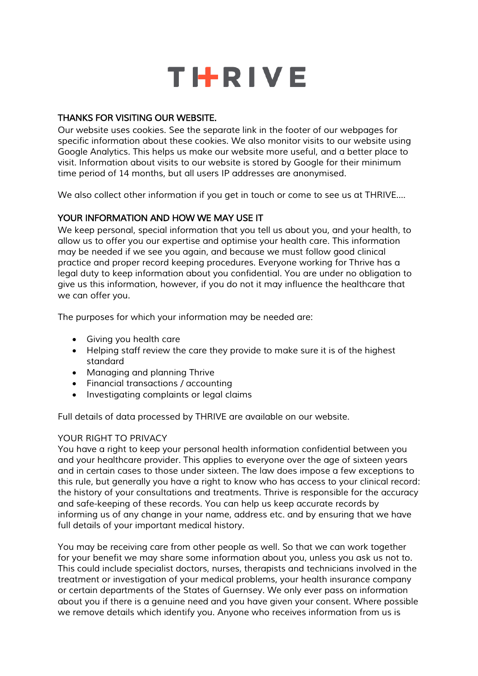

# *THANKS FOR VISITING OUR WEBSITE.*

*Our website uses cookies. See the separate link in the footer of our webpages for specific information about these cookies. We also monitor visits to our website using Google Analytics. This helps us make our website more useful, and a better place to visit. Information about visits to our website is stored by Google for their minimum time period of 14 months, but all users IP addresses are anonymised.*

*We also collect other information if you get in touch or come to see us at THRIVE….*

# *YOUR INFORMATION AND HOW WE MAY USE IT*

*We keep personal, special information that you tell us about you, and your health, to allow us to offer you our expertise and optimise your health care. This information may be needed if we see you again, and because we must follow good clinical practice and proper record keeping procedures. Everyone working for Thrive has a legal duty to keep information about you confidential. You are under no obligation to give us this information, however, if you do not it may influence the healthcare that we can offer you.*

*The purposes for which your information may be needed are:*

- *Giving you health care*
- *Helping staff review the care they provide to make sure it is of the highest standard*
- *Managing and planning Thrive*
- *Financial transactions / accounting*
- *Investigating complaints or legal claims*

*Full details of data processed by THRIVE are available on our website.*

### *YOUR RIGHT TO PRIVACY*

*You have a right to keep your personal health information confidential between you and your healthcare provider. This applies to everyone over the age of sixteen years and in certain cases to those under sixteen. The law does impose a few exceptions to this rule, but generally you have a right to know who has access to your clinical record: the history of your consultations and treatments. Thrive is responsible for the accuracy and safe-keeping of these records. You can help us keep accurate records by*  informing us of any change in your name, address etc. and by ensuring that we have *full details of your important medical history.*

*You may be receiving care from other people as well. So that we can work together for your benefit we may share some information about you, unless you ask us not to. This could include specialist doctors, nurses, therapists and technicians involved in the treatment or investigation of your medical problems, your health insurance company or certain departments of the States of Guernsey. We only ever pass on information about you if there is a genuine need and you have given your consent. Where possible we remove details which identify you. Anyone who receives information from us is*